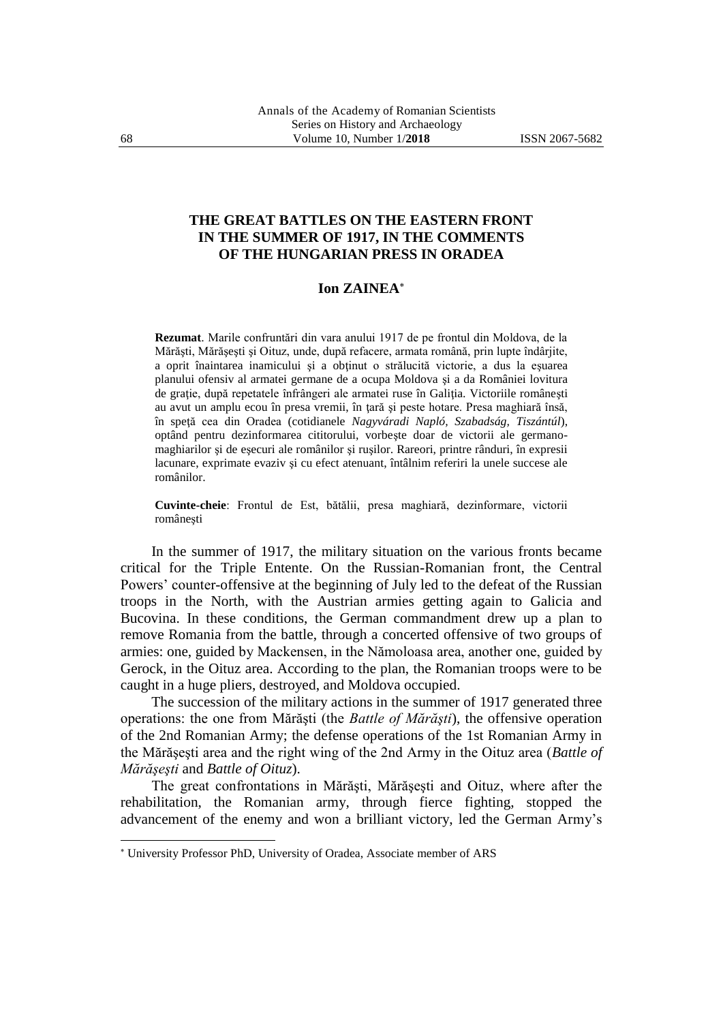## **THE GREAT BATTLES ON THE EASTERN FRONT IN THE SUMMER OF 1917, IN THE COMMENTS OF THE HUNGARIAN PRESS IN ORADEA**

## **Ion ZAINEA**

**Rezumat**. Marile confruntări din vara anului 1917 de pe frontul din Moldova, de la Mărăşti, Mărăşeşti şi Oituz, unde, după refacere, armata română, prin lupte îndârjite, a oprit înaintarea inamicului şi a obţinut o strălucită victorie, a dus la eşuarea planului ofensiv al armatei germane de a ocupa Moldova şi a da României lovitura de graţie, după repetatele înfrângeri ale armatei ruse în Galiţia. Victoriile româneşti au avut un amplu ecou în presa vremii, în ţară şi peste hotare. Presa maghiară însă, în speţă cea din Oradea (cotidianele *Nagyváradi Napló, Szabadság, Tiszántúl*), optând pentru dezinformarea cititorului, vorbeşte doar de victorii ale germanomaghiarilor şi de eşecuri ale românilor şi ruşilor. Rareori, printre rânduri, în expresii lacunare, exprimate evaziv si cu efect atenuant, întâlnim referiri la unele succese ale românilor.

**Cuvinte-cheie**: Frontul de Est, bătălii, presa maghiară, dezinformare, victorii româneşti

In the summer of 1917, the military situation on the various fronts became critical for the Triple Entente. On the Russian-Romanian front, the Central Powers' counter-offensive at the beginning of July led to the defeat of the Russian troops in the North, with the Austrian armies getting again to Galicia and Bucovina. In these conditions, the German commandment drew up a plan to remove Romania from the battle, through a concerted offensive of two groups of armies: one, guided by Mackensen, in the Nămoloasa area, another one, guided by Gerock, in the Oituz area. According to the plan, the Romanian troops were to be caught in a huge pliers, destroyed, and Moldova occupied.

The succession of the military actions in the summer of 1917 generated three operations: the one from Mărăşti (the *Battle of Mărăşti*), the offensive operation of the 2nd Romanian Army; the defense operations of the 1st Romanian Army in the Mărăşeşti area and the right wing of the 2nd Army in the Oituz area (*Battle of Mărăşeşti* and *Battle of Oituz*).

The great confrontations in Mărăşti, Mărăşeşti and Oituz, where after the rehabilitation, the Romanian army, through fierce fighting, stopped the advancement of the enemy and won a brilliant victory, led the German Army's

University Professor PhD, University of Oradea, Associate member of ARS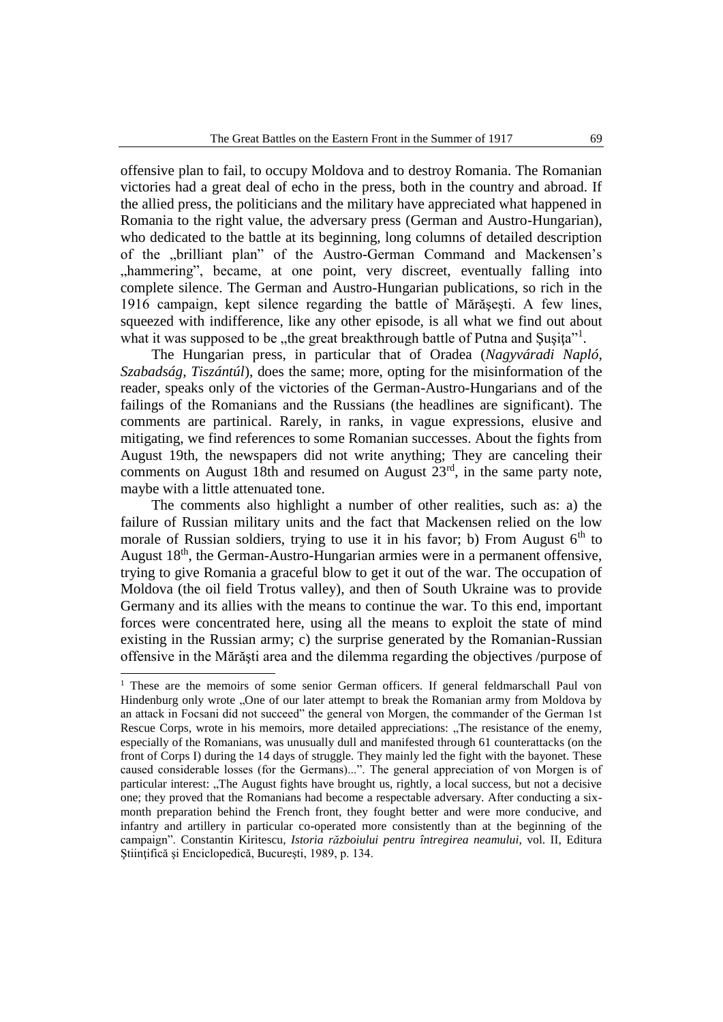offensive plan to fail, to occupy Moldova and to destroy Romania. The Romanian victories had a great deal of echo in the press, both in the country and abroad. If the allied press, the politicians and the military have appreciated what happened in Romania to the right value, the adversary press (German and Austro-Hungarian), who dedicated to the battle at its beginning, long columns of detailed description of the "brilliant plan" of the Austro-German Command and Mackensen's ", hammering", became, at one point, very discreet, eventually falling into complete silence. The German and Austro-Hungarian publications, so rich in the 1916 campaign, kept silence regarding the battle of Mărăşeşti. A few lines, squeezed with indifference, like any other episode, is all what we find out about what it was supposed to be "the great breakthrough battle of Putna and Şuşiţa"<sup>1</sup>.

The Hungarian press, in particular that of Oradea (*Nagyváradi Napló, Szabadság, Tiszántúl*), does the same; more, opting for the misinformation of the reader, speaks only of the victories of the German-Austro-Hungarians and of the failings of the Romanians and the Russians (the headlines are significant). The comments are partinical. Rarely, in ranks, in vague expressions, elusive and mitigating, we find references to some Romanian successes. About the fights from August 19th, the newspapers did not write anything; They are canceling their comments on August 18th and resumed on August  $23<sup>rd</sup>$ , in the same party note, maybe with a little attenuated tone.

The comments also highlight a number of other realities, such as: a) the failure of Russian military units and the fact that Mackensen relied on the low morale of Russian soldiers, trying to use it in his favor; b) From August  $6<sup>th</sup>$  to August 18<sup>th</sup>, the German-Austro-Hungarian armies were in a permanent offensive, trying to give Romania a graceful blow to get it out of the war. The occupation of Moldova (the oil field Trotus valley), and then of South Ukraine was to provide Germany and its allies with the means to continue the war. To this end, important forces were concentrated here, using all the means to exploit the state of mind existing in the Russian army; c) the surprise generated by the Romanian-Russian offensive in the Mărăşti area and the dilemma regarding the objectives /purpose of

<sup>&</sup>lt;sup>1</sup> These are the memoirs of some senior German officers. If general feldmarschall Paul von Hindenburg only wrote "One of our later attempt to break the Romanian army from Moldova by an attack in Focsani did not succeed" the general von Morgen, the commander of the German 1st Rescue Corps, wrote in his memoirs, more detailed appreciations: "The resistance of the enemy, especially of the Romanians, was unusually dull and manifested through 61 counterattacks (on the front of Corps I) during the 14 days of struggle. They mainly led the fight with the bayonet. These caused considerable losses (for the Germans)...". The general appreciation of von Morgen is of particular interest: "The August fights have brought us, rightly, a local success, but not a decisive one; they proved that the Romanians had become a respectable adversary. After conducting a sixmonth preparation behind the French front, they fought better and were more conducive, and infantry and artillery in particular co-operated more consistently than at the beginning of the campaign". Constantin Kiritescu, *Istoria războiului pentru întregirea neamului*, vol. II, Editura Ştiinţifică şi Enciclopedică, Bucureşti, 1989, p. 134.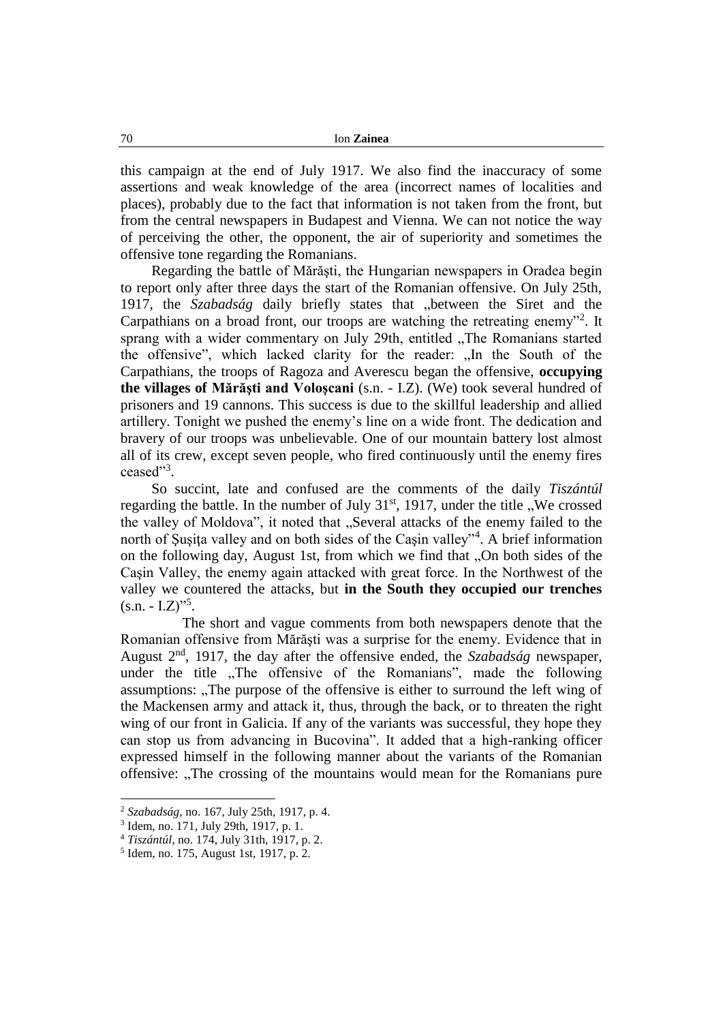this campaign at the end of July 1917. We also find the inaccuracy of some assertions and weak knowledge of the area (incorrect names of localities and places), probably due to the fact that information is not taken from the front, but from the central newspapers in Budapest and Vienna. We can not notice the way of perceiving the other, the opponent, the air of superiority and sometimes the offensive tone regarding the Romanians.

Regarding the battle of Mărăşti, the Hungarian newspapers in Oradea begin to report only after three days the start of the Romanian offensive. On July 25th, 1917, the *Szabadság* daily briefly states that "between the Siret and the Carpathians on a broad front, our troops are watching the retreating enemy"<sup>2</sup>. It sprang with a wider commentary on July 29th, entitled "The Romanians started the offensive", which lacked clarity for the reader: "In the South of the Carpathians, the troops of Ragoza and Averescu began the offensive, **occupying the villages of Mărăşti and Voloşcani** (s.n. - I.Z). (We) took several hundred of prisoners and 19 cannons. This success is due to the skillful leadership and allied artillery. Tonight we pushed the enemy's line on a wide front. The dedication and bravery of our troops was unbelievable. One of our mountain battery lost almost all of its crew, except seven people, who fired continuously until the enemy fires ceased"<sup>3</sup>.

So succint, late and confused are the comments of the daily *Tiszántúl* regarding the battle. In the number of July  $31<sup>st</sup>$ , 1917, under the title "We crossed the valley of Moldova", it noted that "Several attacks of the enemy failed to the north of Şuşiţa valley and on both sides of the Caşin valley"<sup>4</sup> . A brief information on the following day, August 1st, from which we find that "On both sides of the Caşin Valley, the enemy again attacked with great force. In the Northwest of the valley we countered the attacks, but **in the South they occupied our trenches**  $(s.n. - I.Z)$ <sup>5</sup>.

The short and vague comments from both newspapers denote that the Romanian offensive from Mărăşti was a surprise for the enemy. Evidence that in August 2 nd, 1917, the day after the offensive ended, the *Szabadság* newspaper, under the title "The offensive of the Romanians", made the following assumptions: "The purpose of the offensive is either to surround the left wing of the Mackensen army and attack it, thus, through the back, or to threaten the right wing of our front in Galicia. If any of the variants was successful, they hope they can stop us from advancing in Bucovina". It added that a high-ranking officer expressed himself in the following manner about the variants of the Romanian offensive: "The crossing of the mountains would mean for the Romanians pure

<sup>2</sup> *Szabadság*, no. 167, July 25th, 1917, p. 4.

<sup>3</sup> Idem, no. 171, July 29th, 1917, p. 1.

<sup>4</sup> *Tiszántúl*, no. 174, July 31th, 1917, p. 2.

<sup>5</sup> Idem, no. 175, August 1st, 1917, p. 2.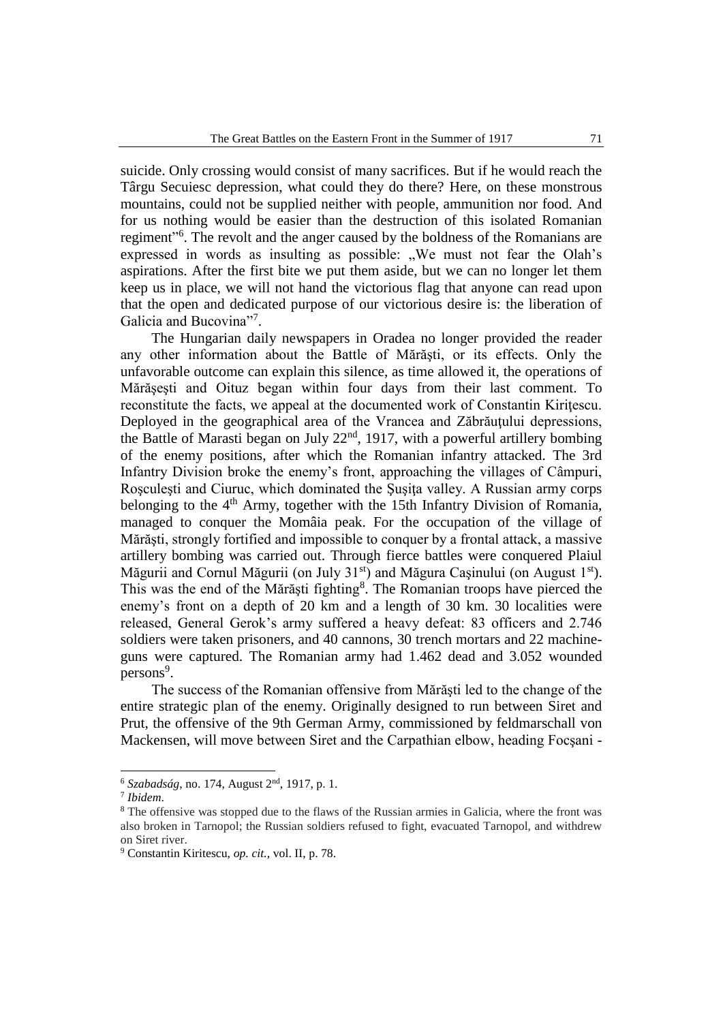suicide. Only crossing would consist of many sacrifices. But if he would reach the Târgu Secuiesc depression, what could they do there? Here, on these monstrous mountains, could not be supplied neither with people, ammunition nor food. And for us nothing would be easier than the destruction of this isolated Romanian regiment"<sup>6</sup>. The revolt and the anger caused by the boldness of the Romanians are expressed in words as insulting as possible:  $W_e$  must not fear the Olah's aspirations. After the first bite we put them aside, but we can no longer let them keep us in place, we will not hand the victorious flag that anyone can read upon that the open and dedicated purpose of our victorious desire is: the liberation of Galicia and Bucovina"7.

The Hungarian daily newspapers in Oradea no longer provided the reader any other information about the Battle of Mărăşti, or its effects. Only the unfavorable outcome can explain this silence, as time allowed it, the operations of Mărăşeşti and Oituz began within four days from their last comment. To reconstitute the facts, we appeal at the documented work of Constantin Kiriţescu. Deployed in the geographical area of the Vrancea and Zăbrăuţului depressions, the Battle of Marasti began on July  $22<sup>nd</sup>$ , 1917, with a powerful artillery bombing of the enemy positions, after which the Romanian infantry attacked. The 3rd Infantry Division broke the enemy's front, approaching the villages of Câmpuri, Roşculeşti and Ciuruc, which dominated the Şuşiţa valley. A Russian army corps belonging to the 4<sup>th</sup> Army, together with the 15th Infantry Division of Romania, managed to conquer the Momâia peak. For the occupation of the village of Mărăşti, strongly fortified and impossible to conquer by a frontal attack, a massive artillery bombing was carried out. Through fierce battles were conquered Plaiul Măgurii and Cornul Măgurii (on July 31<sup>st</sup>) and Măgura Cașinului (on August 1<sup>st</sup>). This was the end of the Mărăști fighting<sup>8</sup>. The Romanian troops have pierced the enemy's front on a depth of 20 km and a length of 30 km. 30 localities were released, General Gerok's army suffered a heavy defeat: 83 officers and 2.746 soldiers were taken prisoners, and 40 cannons, 30 trench mortars and 22 machineguns were captured. The Romanian army had 1.462 dead and 3.052 wounded persons<sup>9</sup>.

The success of the Romanian offensive from Mărăşti led to the change of the entire strategic plan of the enemy. Originally designed to run between Siret and Prut, the offensive of the 9th German Army, commissioned by feldmarschall von Mackensen, will move between Siret and the Carpathian elbow, heading Focşani -

<sup>6</sup> *Szabadság*, no. 174, August 2nd, 1917, p. 1.

<sup>7</sup> *Ibidem*.

<sup>8</sup> The offensive was stopped due to the flaws of the Russian armies in Galicia, where the front was also broken in Tarnopol; the Russian soldiers refused to fight, evacuated Tarnopol, and withdrew on Siret river.

<sup>9</sup> Constantin Kiritescu, *op. cit.*, vol. II, p. 78.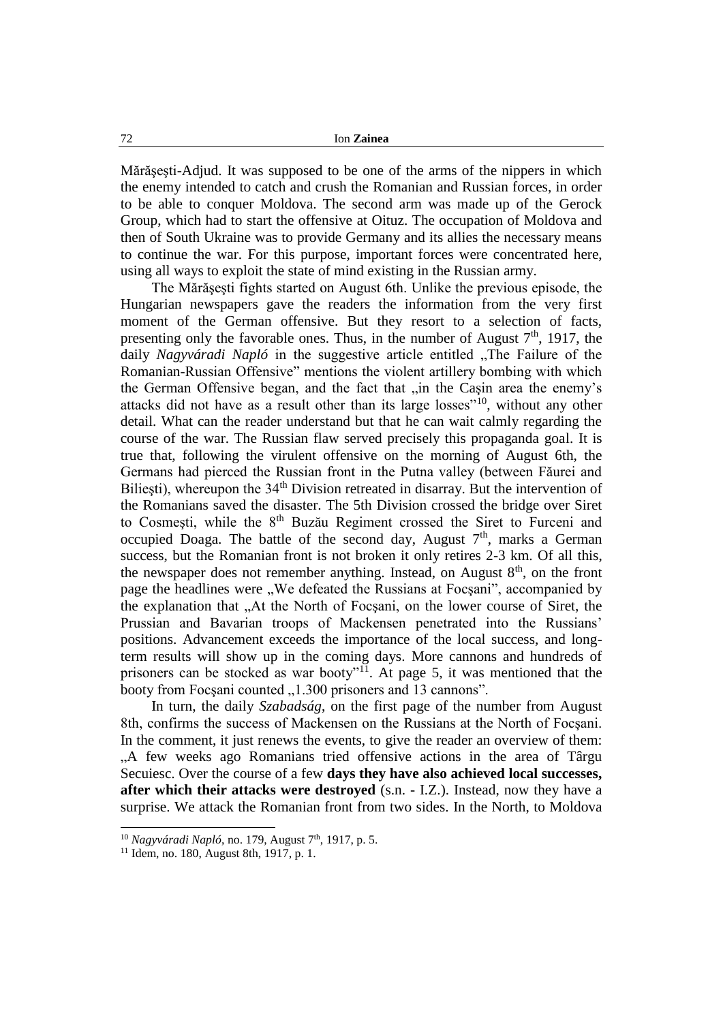Mărăşeşti-Adjud. It was supposed to be one of the arms of the nippers in which the enemy intended to catch and crush the Romanian and Russian forces, in order to be able to conquer Moldova. The second arm was made up of the Gerock Group, which had to start the offensive at Oituz. The occupation of Moldova and then of South Ukraine was to provide Germany and its allies the necessary means to continue the war. For this purpose, important forces were concentrated here, using all ways to exploit the state of mind existing in the Russian army.

The Mărăşeşti fights started on August 6th. Unlike the previous episode, the Hungarian newspapers gave the readers the information from the very first moment of the German offensive. But they resort to a selection of facts, presenting only the favorable ones. Thus, in the number of August  $7<sup>th</sup>$ , 1917, the daily *Nagyváradi Napló* in the suggestive article entitled "The Failure of the Romanian-Russian Offensive" mentions the violent artillery bombing with which the German Offensive began, and the fact that "in the Casin area the enemy's attacks did not have as a result other than its large losses"<sup>10</sup>, without any other detail. What can the reader understand but that he can wait calmly regarding the course of the war. The Russian flaw served precisely this propaganda goal. It is true that, following the virulent offensive on the morning of August 6th, the Germans had pierced the Russian front in the Putna valley (between Făurei and Biliești), whereupon the 34<sup>th</sup> Division retreated in disarray. But the intervention of the Romanians saved the disaster. The 5th Division crossed the bridge over Siret to Cosmești, while the 8<sup>th</sup> Buzău Regiment crossed the Siret to Furceni and occupied Doaga. The battle of the second day, August  $7<sup>th</sup>$ , marks a German success, but the Romanian front is not broken it only retires 2-3 km. Of all this, the newspaper does not remember anything. Instead, on August  $8<sup>th</sup>$ , on the front page the headlines were "We defeated the Russians at Focșani", accompanied by the explanation that "At the North of Focsani, on the lower course of Siret, the Prussian and Bavarian troops of Mackensen penetrated into the Russians' positions. Advancement exceeds the importance of the local success, and longterm results will show up in the coming days. More cannons and hundreds of prisoners can be stocked as war booty<sup>"11</sup>. At page 5, it was mentioned that the booty from Focșani counted "1.300 prisoners and 13 cannons".

In turn, the daily *Szabadság*, on the first page of the number from August 8th, confirms the success of Mackensen on the Russians at the North of Focşani. In the comment, it just renews the events, to give the reader an overview of them: "A few weeks ago Romanians tried offensive actions in the area of Târgu Secuiesc. Over the course of a few **days they have also achieved local successes, after which their attacks were destroyed** (s.n. - I.Z.). Instead, now they have a surprise. We attack the Romanian front from two sides. In the North, to Moldova

<sup>&</sup>lt;sup>10</sup> *Nagyváradi Napló*, no. 179, August 7<sup>th</sup>, 1917, p. 5.

<sup>11</sup> Idem, no. 180, August 8th, 1917, p. 1.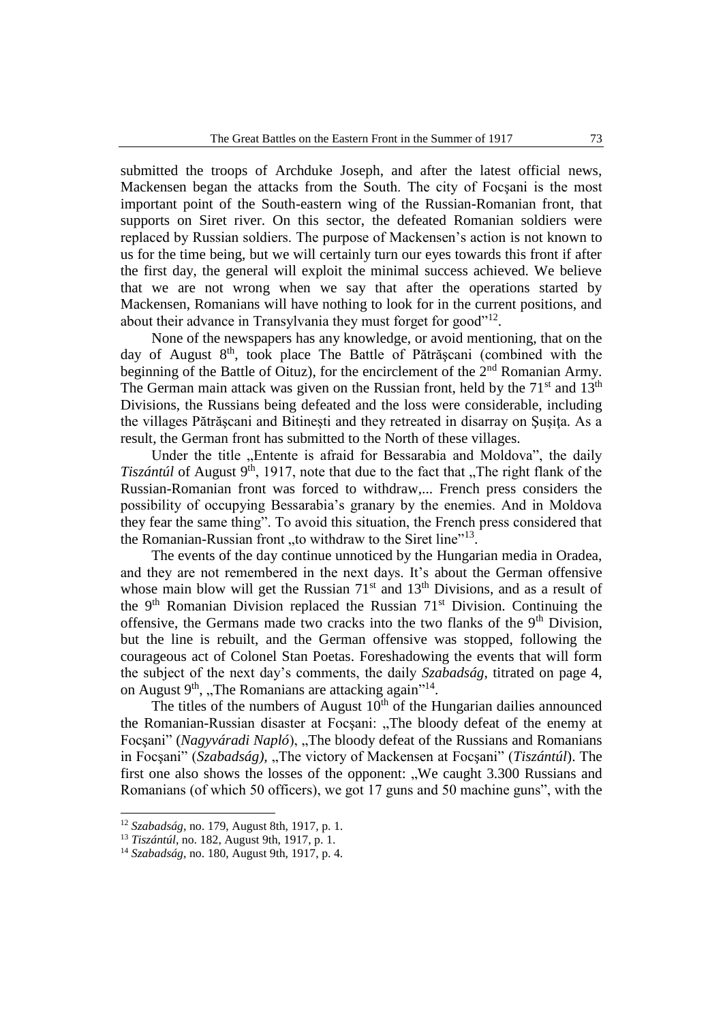submitted the troops of Archduke Joseph, and after the latest official news, Mackensen began the attacks from the South. The city of Focşani is the most important point of the South-eastern wing of the Russian-Romanian front, that supports on Siret river. On this sector, the defeated Romanian soldiers were replaced by Russian soldiers. The purpose of Mackensen's action is not known to us for the time being, but we will certainly turn our eyes towards this front if after the first day, the general will exploit the minimal success achieved. We believe that we are not wrong when we say that after the operations started by Mackensen, Romanians will have nothing to look for in the current positions, and about their advance in Transylvania they must forget for good"<sup>12</sup>.

None of the newspapers has any knowledge, or avoid mentioning, that on the day of August 8<sup>th</sup>, took place The Battle of Pătrășcani (combined with the beginning of the Battle of Oituz), for the encirclement of the 2<sup>nd</sup> Romanian Army. The German main attack was given on the Russian front, held by the  $71<sup>st</sup>$  and  $13<sup>th</sup>$ Divisions, the Russians being defeated and the loss were considerable, including the villages Pătrăşcani and Bitineşti and they retreated in disarray on Şuşiţa. As a result, the German front has submitted to the North of these villages.

Under the title "Entente is afraid for Bessarabia and Moldova", the daily *Tiszántúl* of August 9<sup>th</sup>, 1917, note that due to the fact that "The right flank of the Russian-Romanian front was forced to withdraw,... French press considers the possibility of occupying Bessarabia's granary by the enemies. And in Moldova they fear the same thing". To avoid this situation, the French press considered that the Romanian-Russian front "to withdraw to the Siret line"<sup>13</sup>.

The events of the day continue unnoticed by the Hungarian media in Oradea, and they are not remembered in the next days. It's about the German offensive whose main blow will get the Russian  $71<sup>st</sup>$  and  $13<sup>th</sup>$  Divisions, and as a result of the  $9<sup>th</sup>$  Romanian Division replaced the Russian  $71<sup>st</sup>$  Division. Continuing the offensive, the Germans made two cracks into the two flanks of the 9<sup>th</sup> Division, but the line is rebuilt, and the German offensive was stopped, following the courageous act of Colonel Stan Poetas. Foreshadowing the events that will form the subject of the next day's comments, the daily *Szabadság*, titrated on page 4, on August 9<sup>th</sup>, "The Romanians are attacking again"<sup>14</sup>.

The titles of the numbers of August  $10<sup>th</sup>$  of the Hungarian dailies announced the Romanian-Russian disaster at Focșani: "The bloody defeat of the enemy at Focșani" (*Nagyváradi Napló*), "The bloody defeat of the Russians and Romanians in Focșani" (*Szabadság*), "The victory of Mackensen at Focșani" (*Tiszántúl*). The first one also shows the losses of the opponent: "We caught 3.300 Russians and Romanians (of which 50 officers), we got 17 guns and 50 machine guns", with the

<sup>12</sup> *Szabadság*, no. 179, August 8th, 1917, p. 1.

<sup>13</sup> *Tiszántúl*, no. 182, August 9th, 1917, p. 1.

<sup>14</sup> *Szabadság*, no. 180, August 9th, 1917, p. 4.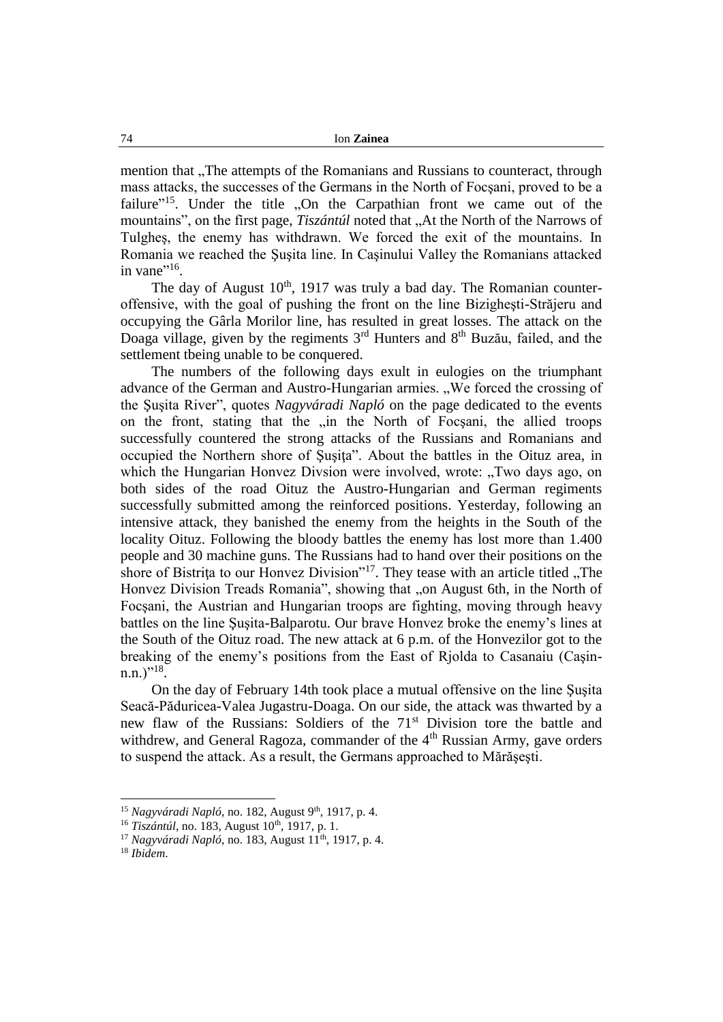mention that "The attempts of the Romanians and Russians to counteract, through mass attacks, the successes of the Germans in the North of Focşani, proved to be a failure"<sup>15</sup>. Under the title "On the Carpathian front we came out of the mountains", on the first page, *Tiszántúl* noted that ..At the North of the Narrows of Tulgheş, the enemy has withdrawn. We forced the exit of the mountains. In Romania we reached the Şuşita line. In Caşinului Valley the Romanians attacked in vane $"^{16}$ .

The day of August  $10^{th}$ , 1917 was truly a bad day. The Romanian counteroffensive, with the goal of pushing the front on the line Bizigheşti-Străjeru and occupying the Gârla Morilor line, has resulted in great losses. The attack on the Doaga village, given by the regiments 3<sup>rd</sup> Hunters and 8<sup>th</sup> Buzău, failed, and the settlement tbeing unable to be conquered.

The numbers of the following days exult in eulogies on the triumphant advance of the German and Austro-Hungarian armies. "We forced the crossing of the Şuşita River", quotes *Nagyváradi Napló* on the page dedicated to the events on the front, stating that the "in the North of Focsani, the allied troops" successfully countered the strong attacks of the Russians and Romanians and occupied the Northern shore of Şuşiţa". About the battles in the Oituz area, in which the Hungarian Honvez Divsion were involved, wrote: "Two days ago, on both sides of the road Oituz the Austro-Hungarian and German regiments successfully submitted among the reinforced positions. Yesterday, following an intensive attack, they banished the enemy from the heights in the South of the locality Oituz. Following the bloody battles the enemy has lost more than 1.400 people and 30 machine guns. The Russians had to hand over their positions on the shore of Bistrita to our Honvez Division"<sup>17</sup>. They tease with an article titled "The Honvez Division Treads Romania", showing that "on August 6th, in the North of Focşani, the Austrian and Hungarian troops are fighting, moving through heavy battles on the line Şuşita-Balparotu. Our brave Honvez broke the enemy's lines at the South of the Oituz road. The new attack at 6 p.m. of the Honvezilor got to the breaking of the enemy's positions from the East of Rjolda to Casanaiu (Caşin $n.n.$ )"<sup>18</sup>.

On the day of February 14th took place a mutual offensive on the line Şuşita Seacă-Păduricea-Valea Jugastru-Doaga. On our side, the attack was thwarted by a new flaw of the Russians: Soldiers of the 71st Division tore the battle and withdrew, and General Ragoza, commander of the 4<sup>th</sup> Russian Army, gave orders to suspend the attack. As a result, the Germans approached to Mărăşeşti.

<sup>&</sup>lt;sup>15</sup> Nagyváradi Napló, no. 182, August 9<sup>th</sup>, 1917, p. 4.

<sup>&</sup>lt;sup>16</sup> Tiszántúl, no. 183, August 10<sup>th</sup>, 1917, p. 1.

<sup>&</sup>lt;sup>17</sup> *Nagyváradi Napló*, no. 183, August 11<sup>th</sup>, 1917, p. 4.

<sup>18</sup> *Ibidem*.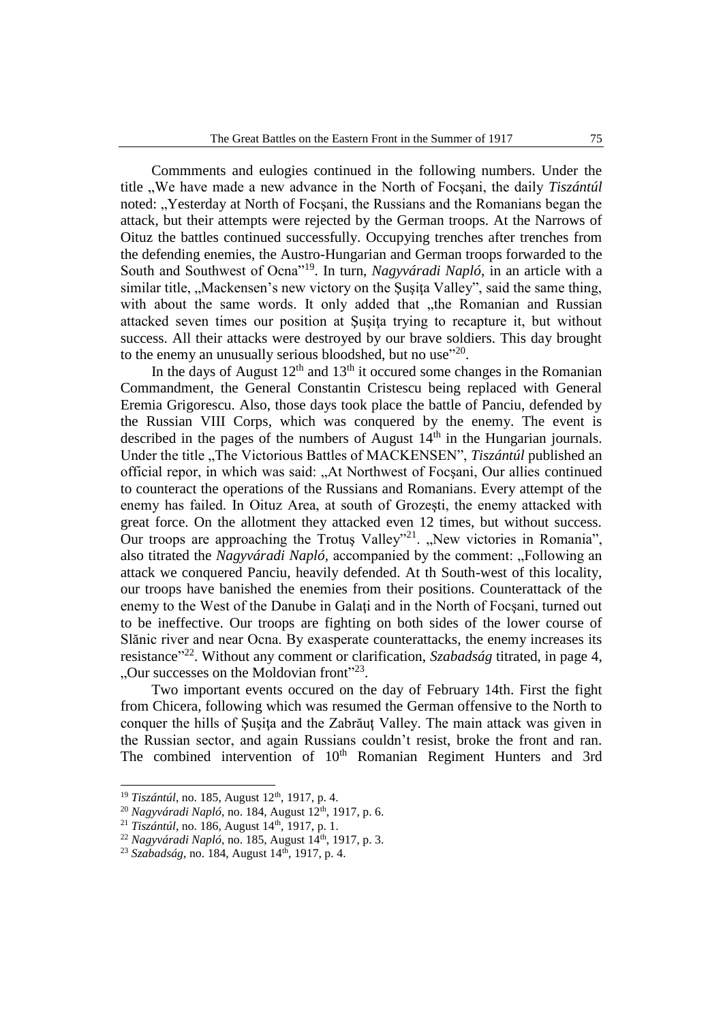Commments and eulogies continued in the following numbers. Under the title "We have made a new advance in the North of Focşani, the daily *Tiszántúl* noted: "Yesterday at North of Focșani, the Russians and the Romanians began the attack, but their attempts were rejected by the German troops. At the Narrows of Oituz the battles continued successfully. Occupying trenches after trenches from the defending enemies, the Austro-Hungarian and German troops forwarded to the South and Southwest of Ocna"<sup>19</sup>. In turn, *Nagyváradi Napló*, in an article with a similar title, "Mackensen's new victory on the Susita Valley", said the same thing, with about the same words. It only added that "the Romanian and Russian attacked seven times our position at Şuşiţa trying to recapture it, but without success. All their attacks were destroyed by our brave soldiers. This day brought to the enemy an unusually serious bloodshed, but no use"<sup>20</sup>.

In the days of August  $12<sup>th</sup>$  and  $13<sup>th</sup>$  it occured some changes in the Romanian Commandment, the General Constantin Cristescu being replaced with General Eremia Grigorescu. Also, those days took place the battle of Panciu, defended by the Russian VIII Corps, which was conquered by the enemy. The event is described in the pages of the numbers of August  $14<sup>th</sup>$  in the Hungarian journals. Under the title "The Victorious Battles of MACKENSEN", *Tiszántúl* published an official repor, in which was said: "At Northwest of Focşani, Our allies continued to counteract the operations of the Russians and Romanians. Every attempt of the enemy has failed. In Oituz Area, at south of Grozeşti, the enemy attacked with great force. On the allotment they attacked even 12 times, but without success. Our troops are approaching the Trotuş Valley"<sup>21</sup>. "New victories in Romania", also titrated the *Nagyváradi Napló*, accompanied by the comment: "Following an attack we conquered Panciu, heavily defended. At th South-west of this locality, our troops have banished the enemies from their positions. Counterattack of the enemy to the West of the Danube in Galati and in the North of Focsani, turned out to be ineffective. Our troops are fighting on both sides of the lower course of Slănic river and near Ocna. By exasperate counterattacks, the enemy increases its resistance<sup>"22</sup>. Without any comment or clarification, *Szabadság* titrated, in page 4, "Our successes on the Moldovian front" $^{23}$ .

Two important events occured on the day of February 14th. First the fight from Chicera, following which was resumed the German offensive to the North to conquer the hills of Şuşiţa and the Zabrăuţ Valley. The main attack was given in the Russian sector, and again Russians couldn't resist, broke the front and ran. The combined intervention of 10<sup>th</sup> Romanian Regiment Hunters and 3rd

<sup>&</sup>lt;sup>19</sup> *Tiszántúl*, no. 185, August 12<sup>th</sup>, 1917, p. 4.

<sup>&</sup>lt;sup>20</sup> *Nagyváradi Napló*, no. 184, August 12<sup>th</sup>, 1917, p. 6.

<sup>&</sup>lt;sup>21</sup> *Tiszántúl*, no. 186, August 14<sup>th</sup>, 1917, p. 1.

<sup>22</sup> *Nagyváradi Napló*, no. 185, August 14th, 1917, p. 3.

<sup>&</sup>lt;sup>23</sup> *Szabadság*, no. 184, August 14<sup>th</sup>, 1917, p. 4.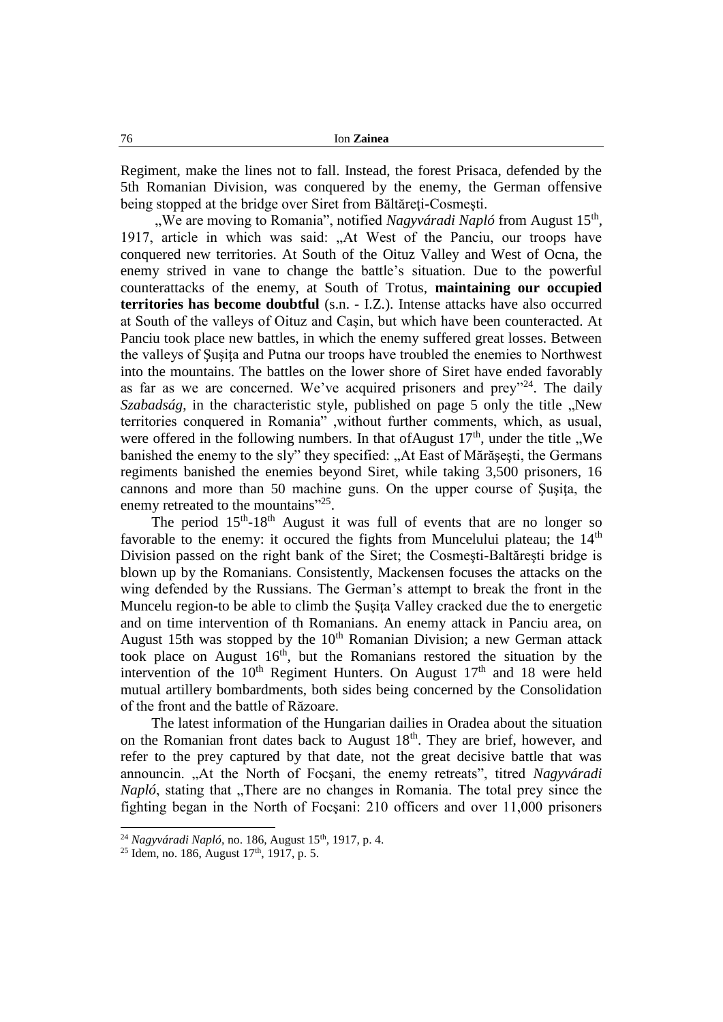Regiment, make the lines not to fall. Instead, the forest Prisaca, defended by the 5th Romanian Division, was conquered by the enemy, the German offensive being stopped at the bridge over Siret from Băltăreți-Cosmești.

"We are moving to Romania", notified *Nagyváradi Napló* from August 15<sup>th</sup>, 1917, article in which was said: "At West of the Panciu, our troops have conquered new territories. At South of the Oituz Valley and West of Ocna, the enemy strived in vane to change the battle's situation. Due to the powerful counterattacks of the enemy, at South of Trotus, **maintaining our occupied territories has become doubtful** (s.n. - I.Z.). Intense attacks have also occurred at South of the valleys of Oituz and Caşin, but which have been counteracted. At Panciu took place new battles, in which the enemy suffered great losses. Between the valleys of Şuşiţa and Putna our troops have troubled the enemies to Northwest into the mountains. The battles on the lower shore of Siret have ended favorably as far as we are concerned. We've acquired prisoners and prey"<sup>24</sup>. The daily *Szabadság*, in the characteristic style, published on page 5 only the title "New territories conquered in Romania" ,without further comments, which, as usual, were offered in the following numbers. In that of August  $17<sup>th</sup>$ , under the title . We banished the enemy to the sly" they specified: "At East of Mărășești, the Germans regiments banished the enemies beyond Siret, while taking 3,500 prisoners, 16 cannons and more than 50 machine guns. On the upper course of Susita, the enemy retreated to the mountains"<sup>25</sup>.

The period  $15<sup>th</sup> - 18<sup>th</sup>$  August it was full of events that are no longer so favorable to the enemy: it occured the fights from Muncelului plateau; the  $14<sup>th</sup>$ Division passed on the right bank of the Siret; the Cosmeşti-Baltăreşti bridge is blown up by the Romanians. Consistently, Mackensen focuses the attacks on the wing defended by the Russians. The German's attempt to break the front in the Muncelu region-to be able to climb the Susita Valley cracked due the to energetic and on time intervention of th Romanians. An enemy attack in Panciu area, on August 15th was stopped by the 10<sup>th</sup> Romanian Division; a new German attack took place on August 16th, but the Romanians restored the situation by the intervention of the  $10<sup>th</sup>$  Regiment Hunters. On August  $17<sup>th</sup>$  and 18 were held mutual artillery bombardments, both sides being concerned by the Consolidation of the front and the battle of Răzoare.

The latest information of the Hungarian dailies in Oradea about the situation on the Romanian front dates back to August  $18<sup>th</sup>$ . They are brief, however, and refer to the prey captured by that date, not the great decisive battle that was announcin. "At the North of Focşani, the enemy retreats", titred *Nagyváradi Napló*, stating that "There are no changes in Romania. The total prey since the fighting began in the North of Focşani: 210 officers and over 11,000 prisoners

<sup>&</sup>lt;sup>24</sup> *Nagyváradi Napló*, no. 186, August 15<sup>th</sup>, 1917, p. 4.

 $25$  Idem, no. 186, August 17<sup>th</sup>, 1917, p. 5.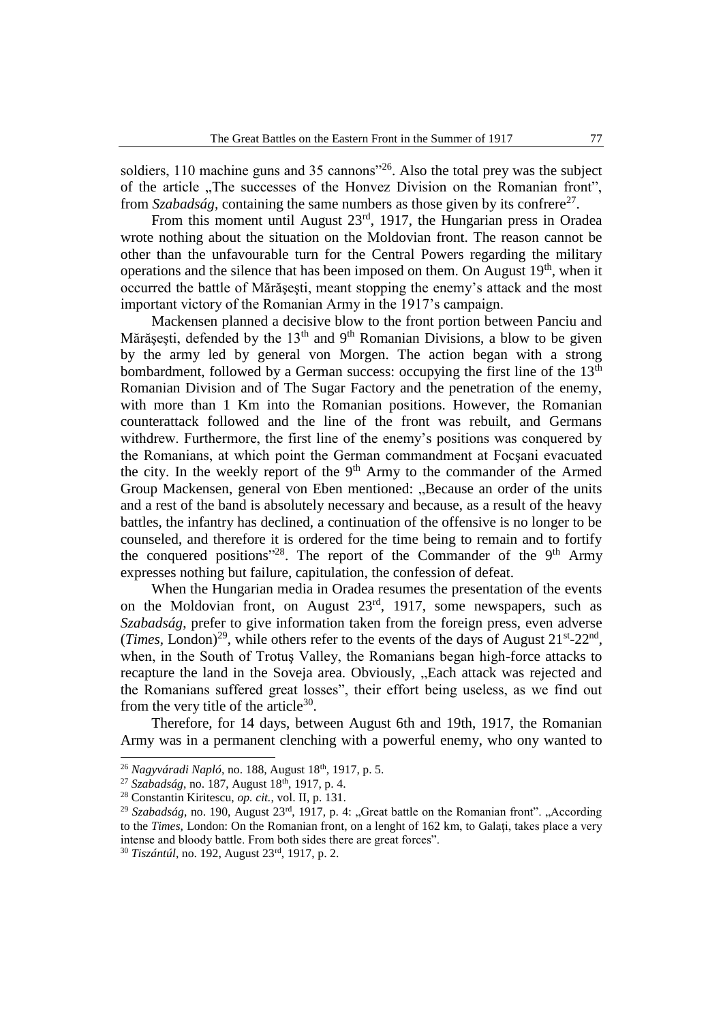soldiers, 110 machine guns and 35 cannons<sup>126</sup>. Also the total prey was the subject of the article . The successes of the Honvez Division on the Romanian front", from *Szabadság*, containing the same numbers as those given by its confrere<sup>27</sup>.

From this moment until August  $23<sup>rd</sup>$ , 1917, the Hungarian press in Oradea wrote nothing about the situation on the Moldovian front. The reason cannot be other than the unfavourable turn for the Central Powers regarding the military operations and the silence that has been imposed on them. On August  $19<sup>th</sup>$ , when it occurred the battle of Mărăşeşti, meant stopping the enemy's attack and the most important victory of the Romanian Army in the 1917's campaign.

Mackensen planned a decisive blow to the front portion between Panciu and Mărășești, defended by the 13<sup>th</sup> and 9<sup>th</sup> Romanian Divisions, a blow to be given by the army led by general von Morgen. The action began with a strong bombardment, followed by a German success: occupying the first line of the  $13<sup>th</sup>$ Romanian Division and of The Sugar Factory and the penetration of the enemy, with more than 1 Km into the Romanian positions. However, the Romanian counterattack followed and the line of the front was rebuilt, and Germans withdrew. Furthermore, the first line of the enemy's positions was conquered by the Romanians, at which point the German commandment at Focşani evacuated the city. In the weekly report of the  $9<sup>th</sup>$  Army to the commander of the Armed Group Mackensen, general von Eben mentioned: "Because an order of the units and a rest of the band is absolutely necessary and because, as a result of the heavy battles, the infantry has declined, a continuation of the offensive is no longer to be counseled, and therefore it is ordered for the time being to remain and to fortify the conquered positions"<sup>28</sup>. The report of the Commander of the  $9<sup>th</sup>$  Army expresses nothing but failure, capitulation, the confession of defeat.

When the Hungarian media in Oradea resumes the presentation of the events on the Moldovian front, on August 23rd, 1917, some newspapers, such as *Szabadság*, prefer to give information taken from the foreign press, even adverse (*Times*, London)<sup>29</sup>, while others refer to the events of the days of August  $21<sup>st</sup> - 22<sup>nd</sup>$ , when, in the South of Trotuş Valley, the Romanians began high-force attacks to recapture the land in the Soveja area. Obviously, "Each attack was rejected and the Romanians suffered great losses", their effort being useless, as we find out from the very title of the article<sup>30</sup>.

Therefore, for 14 days, between August 6th and 19th, 1917, the Romanian Army was in a permanent clenching with a powerful enemy, who ony wanted to

<sup>26</sup> *Nagyváradi Napló*, no. 188, August 18th, 1917, p. 5.

<sup>&</sup>lt;sup>27</sup> *Szabadság*, no. 187, August 18<sup>th</sup>, 1917, p. 4.

<sup>28</sup> Constantin Kiritescu, *op. cit.*, vol. II, p. 131.

<sup>&</sup>lt;sup>29</sup> Szabadság, no. 190, August 23<sup>rd</sup>, 1917, p. 4: "Great battle on the Romanian front". "According to the *Times*, London: On the Romanian front, on a lenght of 162 km, to Galaţi, takes place a very intense and bloody battle. From both sides there are great forces".

<sup>30</sup> *Tiszántúl*, no. 192, August 23rd, 1917, p. 2.